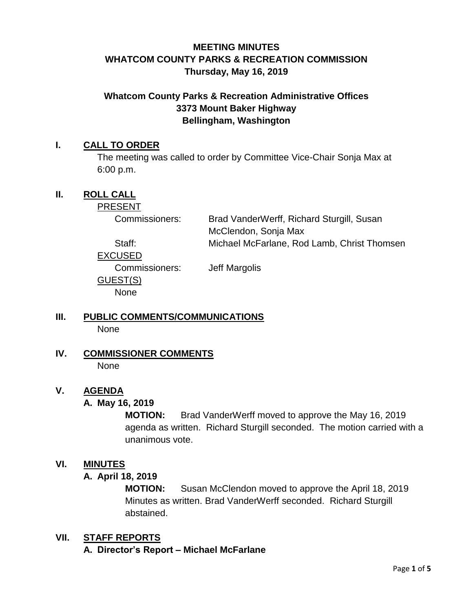# **MEETING MINUTES WHATCOM COUNTY PARKS & RECREATION COMMISSION Thursday, May 16, 2019**

# **Whatcom County Parks & Recreation Administrative Offices 3373 Mount Baker Highway Bellingham, Washington**

## **I. CALL TO ORDER**

The meeting was called to order by Committee Vice-Chair Sonja Max at 6:00 p.m.

## **II. ROLL CALL**

PRESENT

Commissioners: Brad VanderWerff, Richard Sturgill, Susan McClendon, Sonja Max Staff: Michael McFarlane, Rod Lamb, Christ Thomsen

EXCUSED Commissioners: Jeff Margolis GUEST(S) None

## **III. PUBLIC COMMENTS/COMMUNICATIONS** None

**IV. COMMISSIONER COMMENTS** None

# **V. AGENDA**

#### **A. May 16, 2019**

**MOTION:** Brad VanderWerff moved to approve the May 16, 2019 agenda as written. Richard Sturgill seconded. The motion carried with a unanimous vote.

#### **VI. MINUTES**

#### **A. April 18, 2019**

**MOTION:** Susan McClendon moved to approve the April 18, 2019 Minutes as written. Brad VanderWerff seconded. Richard Sturgill abstained.

#### **VII. STAFF REPORTS**

**A. Director's Report – Michael McFarlane**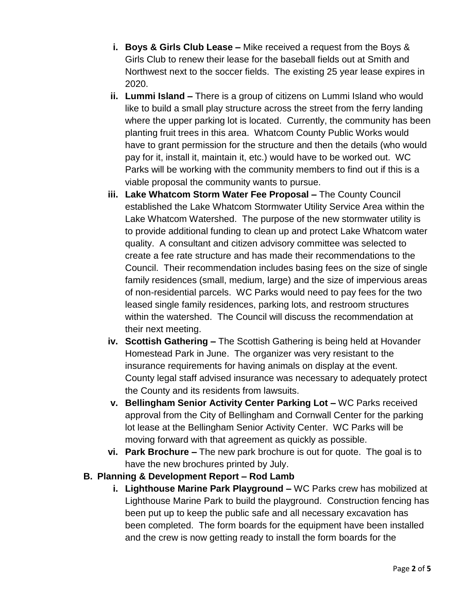- **i. Boys & Girls Club Lease –** Mike received a request from the Boys & Girls Club to renew their lease for the baseball fields out at Smith and Northwest next to the soccer fields. The existing 25 year lease expires in 2020.
- **ii. Lummi Island –** There is a group of citizens on Lummi Island who would like to build a small play structure across the street from the ferry landing where the upper parking lot is located. Currently, the community has been planting fruit trees in this area. Whatcom County Public Works would have to grant permission for the structure and then the details (who would pay for it, install it, maintain it, etc.) would have to be worked out. WC Parks will be working with the community members to find out if this is a viable proposal the community wants to pursue.
- **iii. Lake Whatcom Storm Water Fee Proposal –** The County Council established the Lake Whatcom Stormwater Utility Service Area within the Lake Whatcom Watershed. The purpose of the new stormwater utility is to provide additional funding to clean up and protect Lake Whatcom water quality. A consultant and citizen advisory committee was selected to create a fee rate structure and has made their recommendations to the Council. Their recommendation includes basing fees on the size of single family residences (small, medium, large) and the size of impervious areas of non-residential parcels. WC Parks would need to pay fees for the two leased single family residences, parking lots, and restroom structures within the watershed. The Council will discuss the recommendation at their next meeting.
- **iv. Scottish Gathering –** The Scottish Gathering is being held at Hovander Homestead Park in June. The organizer was very resistant to the insurance requirements for having animals on display at the event. County legal staff advised insurance was necessary to adequately protect the County and its residents from lawsuits.
- **v. Bellingham Senior Activity Center Parking Lot –** WC Parks received approval from the City of Bellingham and Cornwall Center for the parking lot lease at the Bellingham Senior Activity Center. WC Parks will be moving forward with that agreement as quickly as possible.
- **vi. Park Brochure –** The new park brochure is out for quote. The goal is to have the new brochures printed by July.
- **B. Planning & Development Report – Rod Lamb**
	- **i. Lighthouse Marine Park Playground –** WC Parks crew has mobilized at Lighthouse Marine Park to build the playground. Construction fencing has been put up to keep the public safe and all necessary excavation has been completed. The form boards for the equipment have been installed and the crew is now getting ready to install the form boards for the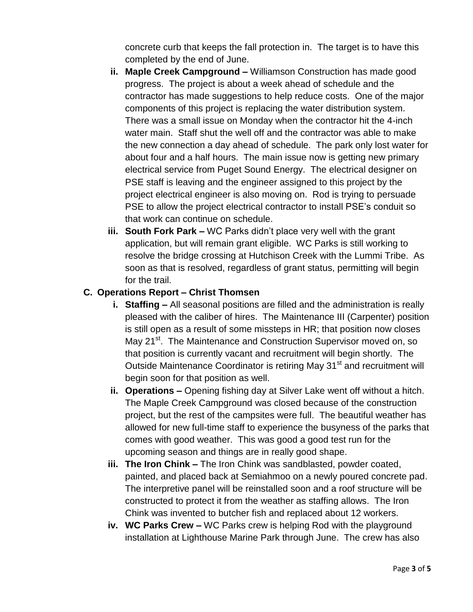concrete curb that keeps the fall protection in. The target is to have this completed by the end of June.

- **ii. Maple Creek Campground –** Williamson Construction has made good progress. The project is about a week ahead of schedule and the contractor has made suggestions to help reduce costs. One of the major components of this project is replacing the water distribution system. There was a small issue on Monday when the contractor hit the 4-inch water main. Staff shut the well off and the contractor was able to make the new connection a day ahead of schedule. The park only lost water for about four and a half hours. The main issue now is getting new primary electrical service from Puget Sound Energy. The electrical designer on PSE staff is leaving and the engineer assigned to this project by the project electrical engineer is also moving on. Rod is trying to persuade PSE to allow the project electrical contractor to install PSE's conduit so that work can continue on schedule.
- **iii. South Fork Park –** WC Parks didn't place very well with the grant application, but will remain grant eligible. WC Parks is still working to resolve the bridge crossing at Hutchison Creek with the Lummi Tribe. As soon as that is resolved, regardless of grant status, permitting will begin for the trail.

## **C. Operations Report – Christ Thomsen**

- **i. Staffing –** All seasonal positions are filled and the administration is really pleased with the caliber of hires. The Maintenance III (Carpenter) position is still open as a result of some missteps in HR; that position now closes Mav 21<sup>st</sup>. The Maintenance and Construction Supervisor moved on, so that position is currently vacant and recruitment will begin shortly. The Outside Maintenance Coordinator is retiring May 31<sup>st</sup> and recruitment will begin soon for that position as well.
- **ii. Operations –** Opening fishing day at Silver Lake went off without a hitch. The Maple Creek Campground was closed because of the construction project, but the rest of the campsites were full. The beautiful weather has allowed for new full-time staff to experience the busyness of the parks that comes with good weather. This was good a good test run for the upcoming season and things are in really good shape.
- **iii. The Iron Chink –** The Iron Chink was sandblasted, powder coated, painted, and placed back at Semiahmoo on a newly poured concrete pad. The interpretive panel will be reinstalled soon and a roof structure will be constructed to protect it from the weather as staffing allows. The Iron Chink was invented to butcher fish and replaced about 12 workers.
- **iv. WC Parks Crew –** WC Parks crew is helping Rod with the playground installation at Lighthouse Marine Park through June. The crew has also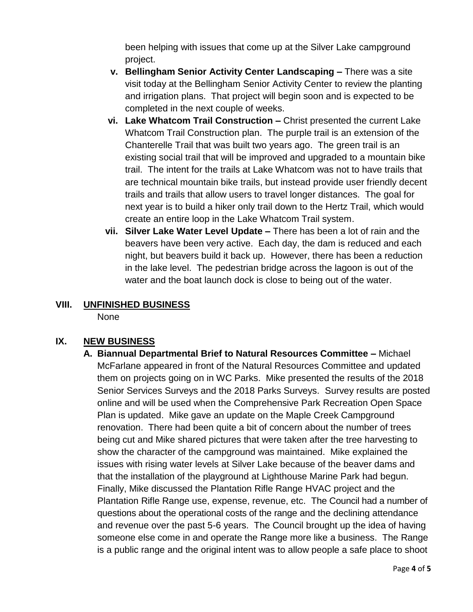been helping with issues that come up at the Silver Lake campground project.

- **v. Bellingham Senior Activity Center Landscaping –** There was a site visit today at the Bellingham Senior Activity Center to review the planting and irrigation plans. That project will begin soon and is expected to be completed in the next couple of weeks.
- **vi. Lake Whatcom Trail Construction –** Christ presented the current Lake Whatcom Trail Construction plan. The purple trail is an extension of the Chanterelle Trail that was built two years ago. The green trail is an existing social trail that will be improved and upgraded to a mountain bike trail. The intent for the trails at Lake Whatcom was not to have trails that are technical mountain bike trails, but instead provide user friendly decent trails and trails that allow users to travel longer distances. The goal for next year is to build a hiker only trail down to the Hertz Trail, which would create an entire loop in the Lake Whatcom Trail system.
- **vii. Silver Lake Water Level Update –** There has been a lot of rain and the beavers have been very active. Each day, the dam is reduced and each night, but beavers build it back up. However, there has been a reduction in the lake level. The pedestrian bridge across the lagoon is out of the water and the boat launch dock is close to being out of the water.

#### **VIII. UNFINISHED BUSINESS**

None

# **IX. NEW BUSINESS**

**A. Biannual Departmental Brief to Natural Resources Committee –** Michael McFarlane appeared in front of the Natural Resources Committee and updated them on projects going on in WC Parks. Mike presented the results of the 2018 Senior Services Surveys and the 2018 Parks Surveys. Survey results are posted online and will be used when the Comprehensive Park Recreation Open Space Plan is updated. Mike gave an update on the Maple Creek Campground renovation. There had been quite a bit of concern about the number of trees being cut and Mike shared pictures that were taken after the tree harvesting to show the character of the campground was maintained. Mike explained the issues with rising water levels at Silver Lake because of the beaver dams and that the installation of the playground at Lighthouse Marine Park had begun. Finally, Mike discussed the Plantation Rifle Range HVAC project and the Plantation Rifle Range use, expense, revenue, etc. The Council had a number of questions about the operational costs of the range and the declining attendance and revenue over the past 5-6 years. The Council brought up the idea of having someone else come in and operate the Range more like a business. The Range is a public range and the original intent was to allow people a safe place to shoot